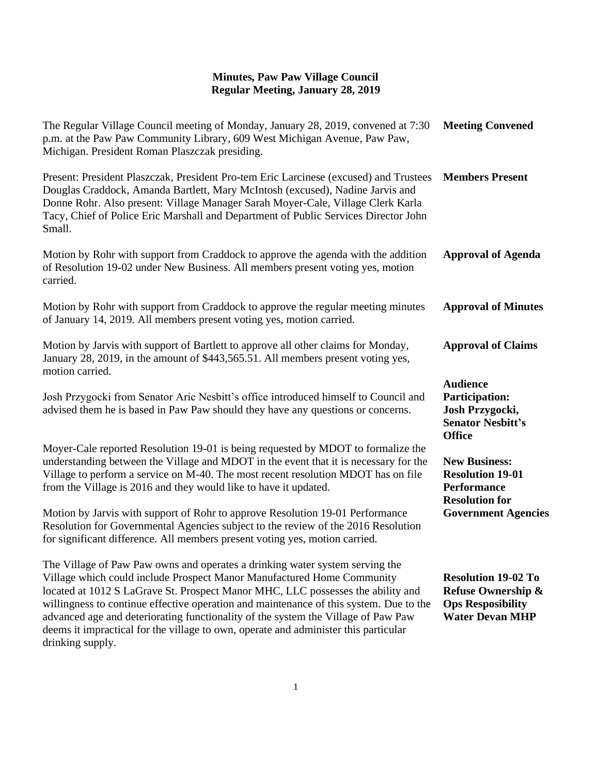## **Minutes, Paw Paw Village Council Regular Meeting, January 28, 2019**

| The Regular Village Council meeting of Monday, January 28, 2019, convened at 7:30<br>p.m. at the Paw Paw Community Library, 609 West Michigan Avenue, Paw Paw,<br>Michigan. President Roman Plaszczak presiding.                                                                                                                                                                                                         | <b>Meeting Convened</b>                                                                                           |
|--------------------------------------------------------------------------------------------------------------------------------------------------------------------------------------------------------------------------------------------------------------------------------------------------------------------------------------------------------------------------------------------------------------------------|-------------------------------------------------------------------------------------------------------------------|
| Present: President Plaszczak, President Pro-tem Eric Larcinese (excused) and Trustees<br>Douglas Craddock, Amanda Bartlett, Mary McIntosh (excused), Nadine Jarvis and<br>Donne Rohr. Also present: Village Manager Sarah Moyer-Cale, Village Clerk Karla<br>Tacy, Chief of Police Eric Marshall and Department of Public Services Director John<br>Small.                                                               | <b>Members Present</b>                                                                                            |
| Motion by Rohr with support from Craddock to approve the agenda with the addition<br>of Resolution 19-02 under New Business. All members present voting yes, motion<br>carried.                                                                                                                                                                                                                                          | <b>Approval of Agenda</b>                                                                                         |
| Motion by Rohr with support from Craddock to approve the regular meeting minutes<br>of January 14, 2019. All members present voting yes, motion carried.                                                                                                                                                                                                                                                                 | <b>Approval of Minutes</b>                                                                                        |
| Motion by Jarvis with support of Bartlett to approve all other claims for Monday,<br>January 28, 2019, in the amount of \$443,565.51. All members present voting yes,<br>motion carried.                                                                                                                                                                                                                                 | <b>Approval of Claims</b>                                                                                         |
| Josh Przygocki from Senator Aric Nesbitt's office introduced himself to Council and<br>advised them he is based in Paw Paw should they have any questions or concerns.                                                                                                                                                                                                                                                   | <b>Audience</b><br><b>Participation:</b><br>Josh Przygocki,<br><b>Senator Nesbitt's</b><br><b>Office</b>          |
| Moyer-Cale reported Resolution 19-01 is being requested by MDOT to formalize the<br>understanding between the Village and MDOT in the event that it is necessary for the<br>Village to perform a service on M-40. The most recent resolution MDOT has on file<br>from the Village is 2016 and they would like to have it updated.                                                                                        | <b>New Business:</b><br><b>Resolution 19-01</b><br><b>Performance</b><br><b>Resolution for</b>                    |
| Motion by Jarvis with support of Rohr to approve Resolution 19-01 Performance<br>Resolution for Governmental Agencies subject to the review of the 2016 Resolution<br>for significant difference. All members present voting yes, motion carried.                                                                                                                                                                        | <b>Government Agencies</b>                                                                                        |
| The Village of Paw Paw owns and operates a drinking water system serving the<br>Village which could include Prospect Manor Manufactured Home Community<br>located at 1012 S LaGrave St. Prospect Manor MHC, LLC possesses the ability and<br>willingness to continue effective operation and maintenance of this system. Due to the<br>advanced age and deteriorating functionality of the system the Village of Paw Paw | <b>Resolution 19-02 To</b><br><b>Refuse Ownership &amp;</b><br><b>Ops Resposibility</b><br><b>Water Devan MHP</b> |

advanced age and deteriorating functionality of the system the Village of Paw Paw deems it impractical for the village to own, operate and administer this particular

drinking supply.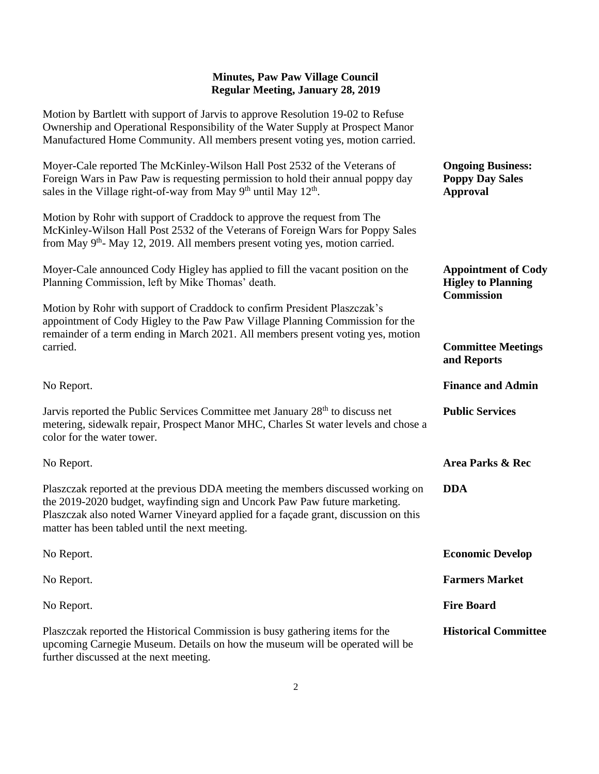## **Minutes, Paw Paw Village Council Regular Meeting, January 28, 2019**

Motion by Bartlett with support of Jarvis to approve Resolution 19-02 to Refuse Ownership and Operational Responsibility of the Water Supply at Prospect Manor Manufactured Home Community. All members present voting yes, motion carried.

| Moyer-Cale reported The McKinley-Wilson Hall Post 2532 of the Veterans of<br>Foreign Wars in Paw Paw is requesting permission to hold their annual poppy day<br>sales in the Village right-of-way from May 9 <sup>th</sup> until May 12 <sup>th</sup> .                                                | <b>Ongoing Business:</b><br><b>Poppy Day Sales</b><br><b>Approval</b>        |
|--------------------------------------------------------------------------------------------------------------------------------------------------------------------------------------------------------------------------------------------------------------------------------------------------------|------------------------------------------------------------------------------|
| Motion by Rohr with support of Craddock to approve the request from The<br>McKinley-Wilson Hall Post 2532 of the Veterans of Foreign Wars for Poppy Sales<br>from May $9th$ - May 12, 2019. All members present voting yes, motion carried.                                                            |                                                                              |
| Moyer-Cale announced Cody Higley has applied to fill the vacant position on the<br>Planning Commission, left by Mike Thomas' death.                                                                                                                                                                    | <b>Appointment of Cody</b><br><b>Higley to Planning</b><br><b>Commission</b> |
| Motion by Rohr with support of Craddock to confirm President Plaszczak's<br>appointment of Cody Higley to the Paw Paw Village Planning Commission for the<br>remainder of a term ending in March 2021. All members present voting yes, motion                                                          |                                                                              |
| carried.                                                                                                                                                                                                                                                                                               | <b>Committee Meetings</b><br>and Reports                                     |
| No Report.                                                                                                                                                                                                                                                                                             | <b>Finance and Admin</b>                                                     |
| Jarvis reported the Public Services Committee met January 28 <sup>th</sup> to discuss net<br>metering, sidewalk repair, Prospect Manor MHC, Charles St water levels and chose a<br>color for the water tower.                                                                                          | <b>Public Services</b>                                                       |
| No Report.                                                                                                                                                                                                                                                                                             | <b>Area Parks &amp; Rec</b>                                                  |
| Plaszczak reported at the previous DDA meeting the members discussed working on<br>the 2019-2020 budget, wayfinding sign and Uncork Paw Paw future marketing.<br>Plaszczak also noted Warner Vineyard applied for a façade grant, discussion on this<br>matter has been tabled until the next meeting. | <b>DDA</b>                                                                   |
| No Report.                                                                                                                                                                                                                                                                                             | <b>Economic Develop</b>                                                      |
| No Report.                                                                                                                                                                                                                                                                                             | <b>Farmers Market</b>                                                        |
| No Report.                                                                                                                                                                                                                                                                                             | <b>Fire Board</b>                                                            |
| Plaszczak reported the Historical Commission is busy gathering items for the<br>upcoming Carnegie Museum. Details on how the museum will be operated will be                                                                                                                                           | <b>Historical Committee</b>                                                  |

further discussed at the next meeting.